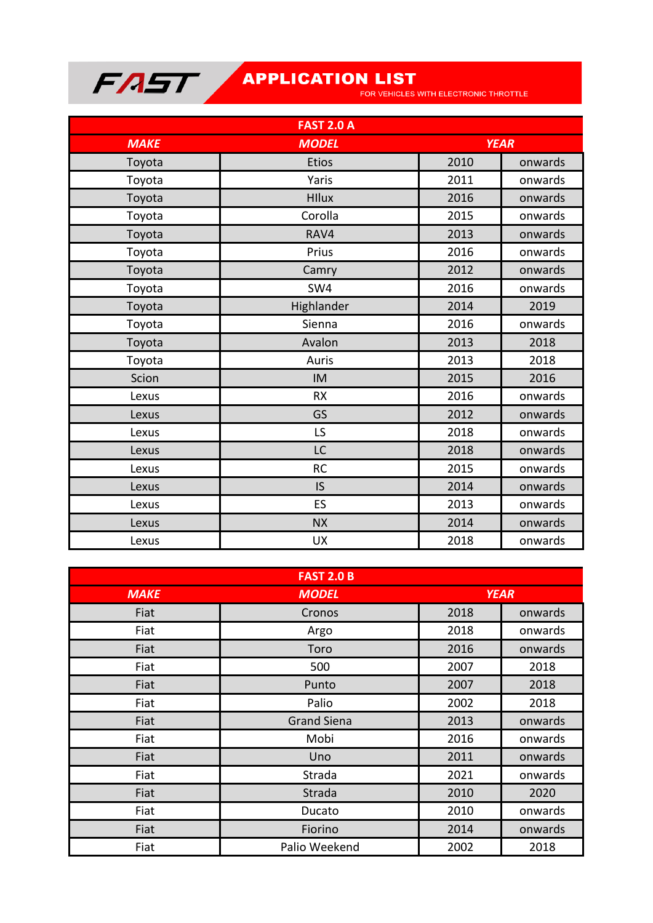

| <b>FAST 2.0 A</b> |              |             |         |
|-------------------|--------------|-------------|---------|
| <b>MAKE</b>       | <b>MODEL</b> | <b>YEAR</b> |         |
| Toyota            | <b>Etios</b> | 2010        | onwards |
| Toyota            | Yaris        | 2011        | onwards |
| Toyota            | <b>HIlux</b> | 2016        | onwards |
| Toyota            | Corolla      | 2015        | onwards |
| Toyota            | RAV4         | 2013        | onwards |
| Toyota            | Prius        | 2016        | onwards |
| Toyota            | Camry        | 2012        | onwards |
| Toyota            | SW4          | 2016        | onwards |
| Toyota            | Highlander   | 2014        | 2019    |
| Toyota            | Sienna       | 2016        | onwards |
| Toyota            | Avalon       | 2013        | 2018    |
| Toyota            | Auris        | 2013        | 2018    |
| Scion             | IM           | 2015        | 2016    |
| Lexus             | <b>RX</b>    | 2016        | onwards |
| Lexus             | GS           | 2012        | onwards |
| Lexus             | LS           | 2018        | onwards |
| Lexus             | LC           | 2018        | onwards |
| Lexus             | <b>RC</b>    | 2015        | onwards |
| Lexus             | <b>IS</b>    | 2014        | onwards |
| Lexus             | ES           | 2013        | onwards |
| Lexus             | <b>NX</b>    | 2014        | onwards |
| Lexus             | <b>UX</b>    | 2018        | onwards |

| <b>FAST 2.0 B</b> |                    |             |         |
|-------------------|--------------------|-------------|---------|
| <b>MAKE</b>       | <b>MODEL</b>       | <b>YEAR</b> |         |
| Fiat              | Cronos             | 2018        | onwards |
| Fiat              | Argo               | 2018        | onwards |
| Fiat              | Toro               | 2016        | onwards |
| Fiat              | 500                | 2007        | 2018    |
| Fiat              | Punto              | 2007        | 2018    |
| Fiat              | Palio              | 2002        | 2018    |
| Fiat              | <b>Grand Siena</b> | 2013        | onwards |
| Fiat              | Mobi               | 2016        | onwards |
| Fiat              | Uno                | 2011        | onwards |
| Fiat              | Strada             | 2021        | onwards |
| Fiat              | Strada             | 2010        | 2020    |
| Fiat              | Ducato             | 2010        | onwards |
| Fiat              | Fiorino            | 2014        | onwards |
| Fiat              | Palio Weekend      | 2002        | 2018    |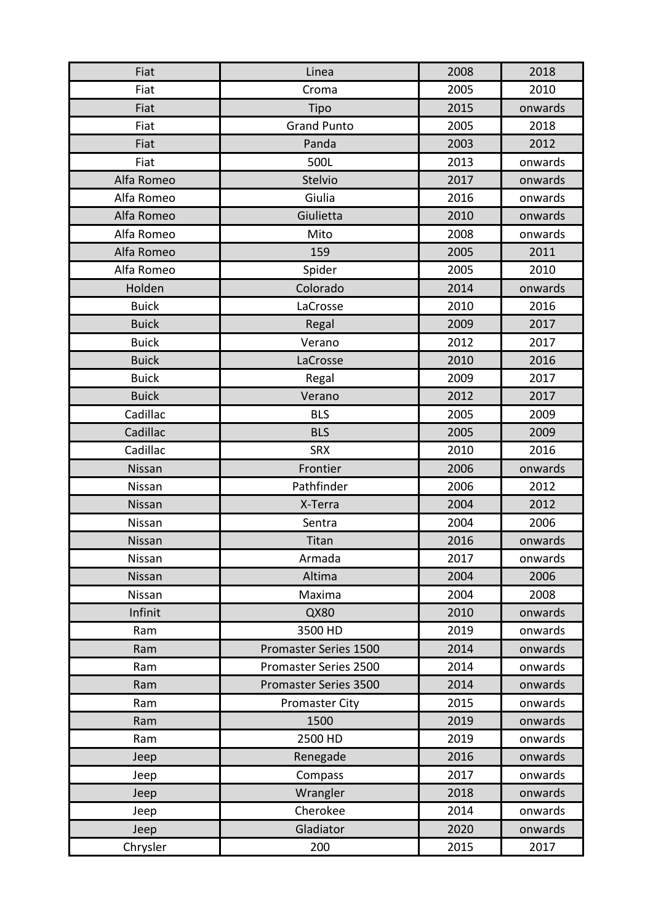| Fiat         | Linea                 | 2008 | 2018    |
|--------------|-----------------------|------|---------|
| Fiat         | Croma                 | 2005 | 2010    |
| Fiat         | Tipo                  | 2015 | onwards |
| Fiat         | <b>Grand Punto</b>    | 2005 | 2018    |
| Fiat         | Panda                 | 2003 | 2012    |
| Fiat         | 500L                  | 2013 | onwards |
| Alfa Romeo   | Stelvio               | 2017 | onwards |
| Alfa Romeo   | Giulia                | 2016 | onwards |
| Alfa Romeo   | Giulietta             | 2010 | onwards |
| Alfa Romeo   | Mito                  | 2008 | onwards |
| Alfa Romeo   | 159                   | 2005 | 2011    |
| Alfa Romeo   | Spider                | 2005 | 2010    |
| Holden       | Colorado              | 2014 | onwards |
| <b>Buick</b> | LaCrosse              | 2010 | 2016    |
| <b>Buick</b> | Regal                 | 2009 | 2017    |
| <b>Buick</b> | Verano                | 2012 | 2017    |
| <b>Buick</b> | LaCrosse              | 2010 | 2016    |
| <b>Buick</b> | Regal                 | 2009 | 2017    |
| <b>Buick</b> | Verano                | 2012 | 2017    |
| Cadillac     | <b>BLS</b>            | 2005 | 2009    |
| Cadillac     | <b>BLS</b>            | 2005 | 2009    |
| Cadillac     | <b>SRX</b>            | 2010 | 2016    |
| Nissan       | Frontier              | 2006 | onwards |
| Nissan       | Pathfinder            | 2006 | 2012    |
| Nissan       | X-Terra               | 2004 | 2012    |
| Nissan       | Sentra                | 2004 | 2006    |
| Nissan       | Titan                 | 2016 | onwards |
| Nissan       | Armada                | 2017 | onwards |
| Nissan       | Altima                | 2004 | 2006    |
| Nissan       | Maxima                | 2004 | 2008    |
| Infinit      | QX80                  | 2010 | onwards |
| Ram          | 3500 HD               | 2019 | onwards |
| Ram          | Promaster Series 1500 | 2014 | onwards |
| Ram          | Promaster Series 2500 | 2014 | onwards |
| Ram          | Promaster Series 3500 | 2014 | onwards |
| Ram          | <b>Promaster City</b> | 2015 | onwards |
| Ram          | 1500                  | 2019 | onwards |
| Ram          | 2500 HD               | 2019 | onwards |
| Jeep         | Renegade              | 2016 | onwards |
| Jeep         | Compass               | 2017 | onwards |
| Jeep         | Wrangler              | 2018 | onwards |
| Jeep         | Cherokee              | 2014 | onwards |
| Jeep         | Gladiator             | 2020 | onwards |
| Chrysler     | 200                   | 2015 | 2017    |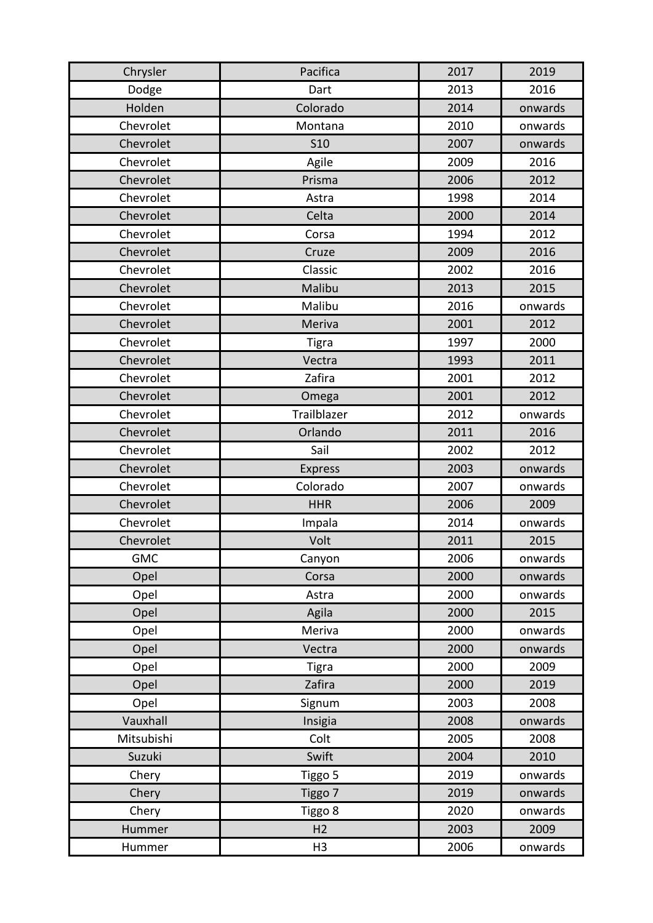| Chrysler   | Pacifica       | 2017 | 2019    |
|------------|----------------|------|---------|
| Dodge      | Dart           | 2013 | 2016    |
| Holden     | Colorado       | 2014 | onwards |
| Chevrolet  | Montana        | 2010 | onwards |
| Chevrolet  | <b>S10</b>     | 2007 | onwards |
| Chevrolet  | Agile          | 2009 | 2016    |
| Chevrolet  | Prisma         | 2006 | 2012    |
| Chevrolet  | Astra          | 1998 | 2014    |
| Chevrolet  | Celta          | 2000 | 2014    |
| Chevrolet  | Corsa          | 1994 | 2012    |
| Chevrolet  | Cruze          | 2009 | 2016    |
| Chevrolet  | Classic        | 2002 | 2016    |
| Chevrolet  | Malibu         | 2013 | 2015    |
| Chevrolet  | Malibu         | 2016 | onwards |
| Chevrolet  | Meriva         | 2001 | 2012    |
| Chevrolet  | <b>Tigra</b>   | 1997 | 2000    |
| Chevrolet  | Vectra         | 1993 | 2011    |
| Chevrolet  | Zafira         | 2001 | 2012    |
| Chevrolet  | Omega          | 2001 | 2012    |
| Chevrolet  | Trailblazer    | 2012 | onwards |
| Chevrolet  | Orlando        | 2011 | 2016    |
| Chevrolet  | Sail           | 2002 | 2012    |
| Chevrolet  | <b>Express</b> | 2003 | onwards |
| Chevrolet  | Colorado       | 2007 | onwards |
| Chevrolet  | <b>HHR</b>     | 2006 | 2009    |
| Chevrolet  | Impala         | 2014 | onwards |
| Chevrolet  | Volt           | 2011 | 2015    |
| <b>GMC</b> | Canyon         | 2006 | onwards |
| Opel       | Corsa          | 2000 | onwards |
| Opel       | Astra          | 2000 | onwards |
| Opel       | Agila          | 2000 | 2015    |
| Opel       | Meriva         | 2000 | onwards |
| Opel       | Vectra         | 2000 | onwards |
| Opel       | <b>Tigra</b>   | 2000 | 2009    |
| Opel       | Zafira         | 2000 | 2019    |
| Opel       | Signum         | 2003 | 2008    |
| Vauxhall   | Insigia        | 2008 | onwards |
| Mitsubishi | Colt           | 2005 | 2008    |
| Suzuki     | Swift          | 2004 | 2010    |
| Chery      | Tiggo 5        | 2019 | onwards |
| Chery      | Tiggo 7        | 2019 | onwards |
| Chery      | Tiggo 8        | 2020 | onwards |
| Hummer     | H <sub>2</sub> | 2003 | 2009    |
| Hummer     | H <sub>3</sub> | 2006 | onwards |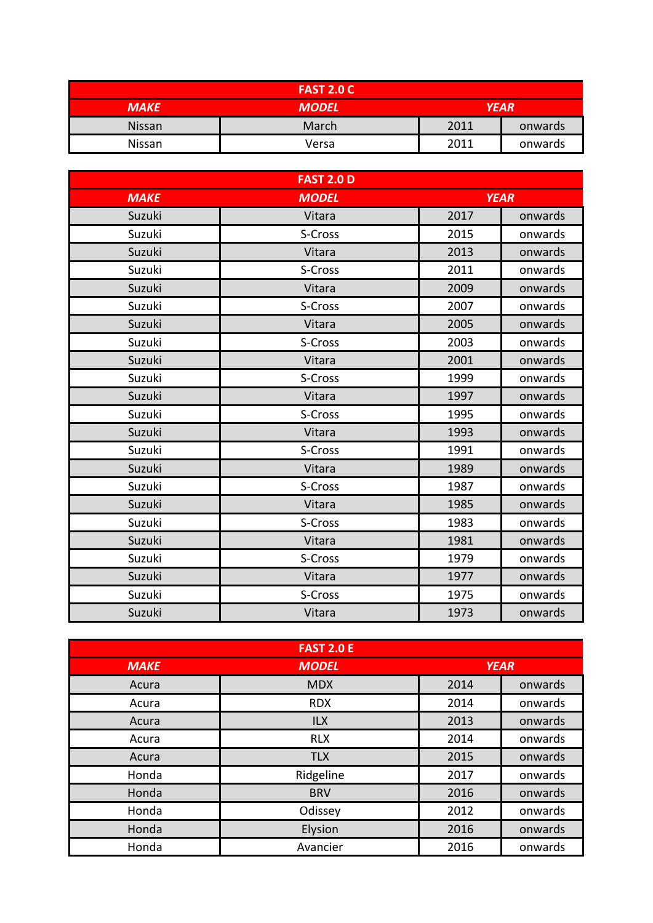|             | <b>FAST 2.0 C</b>           |      |         |
|-------------|-----------------------------|------|---------|
| <b>MAKE</b> | <b>YEAR</b><br><b>MODEL</b> |      |         |
| Nissan      | March                       | 2011 | onwards |
| Nissan      | Versa                       | 2011 | onwards |

|             | <b>FAST 2.0 D</b> |             |         |
|-------------|-------------------|-------------|---------|
| <b>MAKE</b> | <b>MODEL</b>      | <b>YEAR</b> |         |
| Suzuki      | Vitara            | 2017        | onwards |
| Suzuki      | S-Cross           | 2015        | onwards |
| Suzuki      | Vitara            | 2013        | onwards |
| Suzuki      | S-Cross           | 2011        | onwards |
| Suzuki      | Vitara            | 2009        | onwards |
| Suzuki      | S-Cross           | 2007        | onwards |
| Suzuki      | Vitara            | 2005        | onwards |
| Suzuki      | S-Cross           | 2003        | onwards |
| Suzuki      | Vitara            | 2001        | onwards |
| Suzuki      | S-Cross           | 1999        | onwards |
| Suzuki      | Vitara            | 1997        | onwards |
| Suzuki      | S-Cross           | 1995        | onwards |
| Suzuki      | Vitara            | 1993        | onwards |
| Suzuki      | S-Cross           | 1991        | onwards |
| Suzuki      | Vitara            | 1989        | onwards |
| Suzuki      | S-Cross           | 1987        | onwards |
| Suzuki      | Vitara            | 1985        | onwards |
| Suzuki      | S-Cross           | 1983        | onwards |
| Suzuki      | Vitara            | 1981        | onwards |
| Suzuki      | S-Cross           | 1979        | onwards |
| Suzuki      | Vitara            | 1977        | onwards |
| Suzuki      | S-Cross           | 1975        | onwards |
| Suzuki      | Vitara            | 1973        | onwards |

| <b>FAST 2.0 E</b> |              |             |         |
|-------------------|--------------|-------------|---------|
| <b>MAKE</b>       | <b>MODEL</b> | <b>YEAR</b> |         |
| Acura             | <b>MDX</b>   | 2014        | onwards |
| Acura             | <b>RDX</b>   | 2014        | onwards |
| Acura             | ILX          | 2013        | onwards |
| Acura             | <b>RLX</b>   | 2014        | onwards |
| Acura             | <b>TLX</b>   | 2015        | onwards |
| Honda             | Ridgeline    | 2017        | onwards |
| Honda             | <b>BRV</b>   | 2016        | onwards |
| Honda             | Odissey      | 2012        | onwards |
| Honda             | Elysion      | 2016        | onwards |
| Honda             | Avancier     | 2016        | onwards |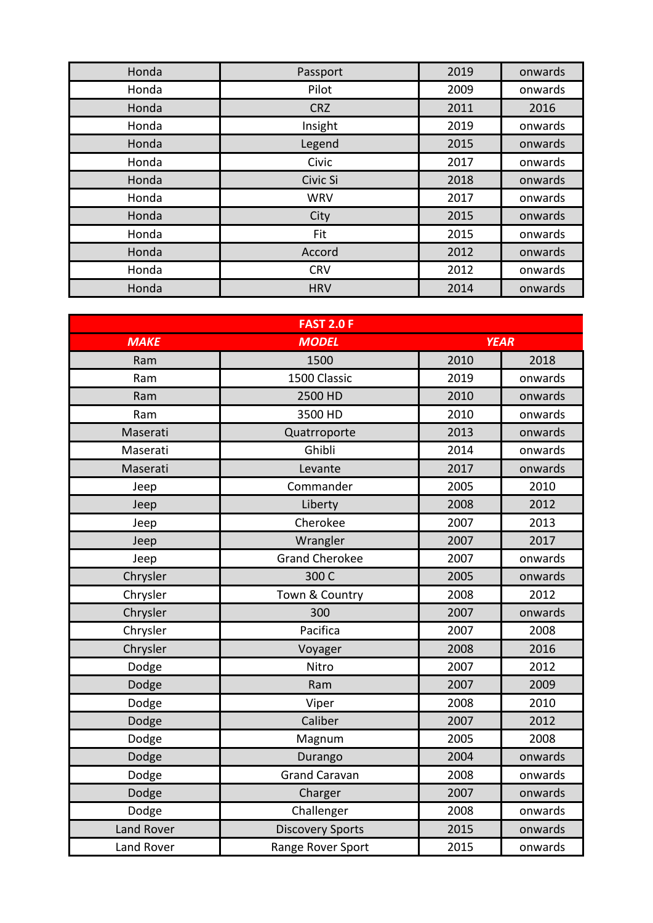| Honda | Passport   | 2019 | onwards |
|-------|------------|------|---------|
| Honda | Pilot      | 2009 | onwards |
| Honda | <b>CRZ</b> | 2011 | 2016    |
| Honda | Insight    | 2019 | onwards |
| Honda | Legend     | 2015 | onwards |
| Honda | Civic      | 2017 | onwards |
| Honda | Civic Si   | 2018 | onwards |
| Honda | <b>WRV</b> | 2017 | onwards |
| Honda | City       | 2015 | onwards |
| Honda | Fit        | 2015 | onwards |
| Honda | Accord     | 2012 | onwards |
| Honda | <b>CRV</b> | 2012 | onwards |
| Honda | <b>HRV</b> | 2014 | onwards |

| <b>FAST 2.0 F</b> |                             |      |         |
|-------------------|-----------------------------|------|---------|
| <b>MAKE</b>       | <b>YEAR</b><br><b>MODEL</b> |      |         |
| Ram               | 1500                        | 2010 | 2018    |
| Ram               | 1500 Classic                | 2019 | onwards |
| Ram               | 2500 HD                     | 2010 | onwards |
| Ram               | 3500 HD                     | 2010 | onwards |
| Maserati          | Quatrroporte                | 2013 | onwards |
| Maserati          | Ghibli                      | 2014 | onwards |
| Maserati          | Levante                     | 2017 | onwards |
| Jeep              | Commander                   | 2005 | 2010    |
| Jeep              | Liberty                     | 2008 | 2012    |
| Jeep              | Cherokee                    | 2007 | 2013    |
| Jeep              | Wrangler                    | 2007 | 2017    |
| Jeep              | <b>Grand Cherokee</b>       | 2007 | onwards |
| Chrysler          | 300 C                       | 2005 | onwards |
| Chrysler          | Town & Country              | 2008 | 2012    |
| Chrysler          | 300                         | 2007 | onwards |
| Chrysler          | Pacifica                    | 2007 | 2008    |
| Chrysler          | Voyager                     | 2008 | 2016    |
| Dodge             | Nitro                       | 2007 | 2012    |
| Dodge             | Ram                         | 2007 | 2009    |
| Dodge             | Viper                       | 2008 | 2010    |
| Dodge             | Caliber                     | 2007 | 2012    |
| Dodge             | Magnum                      | 2005 | 2008    |
| Dodge             | Durango                     | 2004 | onwards |
| Dodge             | <b>Grand Caravan</b>        | 2008 | onwards |
| Dodge             | Charger                     | 2007 | onwards |
| Dodge             | Challenger                  | 2008 | onwards |
| <b>Land Rover</b> | <b>Discovery Sports</b>     | 2015 | onwards |
| Land Rover        | Range Rover Sport           | 2015 | onwards |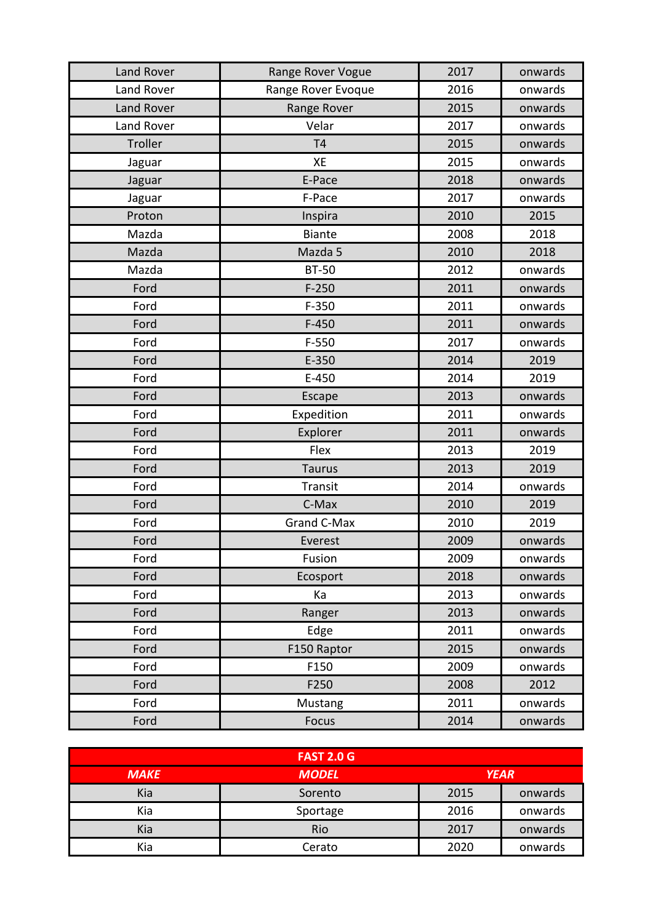| Land Rover | Range Rover Vogue  | 2017 | onwards |
|------------|--------------------|------|---------|
| Land Rover | Range Rover Evoque | 2016 | onwards |
| Land Rover | Range Rover        | 2015 | onwards |
| Land Rover | Velar              | 2017 | onwards |
| Troller    | T <sub>4</sub>     | 2015 | onwards |
| Jaguar     | XE                 | 2015 | onwards |
| Jaguar     | E-Pace             | 2018 | onwards |
| Jaguar     | F-Pace             | 2017 | onwards |
| Proton     | Inspira            | 2010 | 2015    |
| Mazda      | <b>Biante</b>      | 2008 | 2018    |
| Mazda      | Mazda 5            | 2010 | 2018    |
| Mazda      | <b>BT-50</b>       | 2012 | onwards |
| Ford       | $F-250$            | 2011 | onwards |
| Ford       | $F-350$            | 2011 | onwards |
| Ford       | $F-450$            | 2011 | onwards |
| Ford       | $F-550$            | 2017 | onwards |
| Ford       | $E-350$            | 2014 | 2019    |
| Ford       | $E-450$            | 2014 | 2019    |
| Ford       | <b>Escape</b>      | 2013 | onwards |
| Ford       | Expedition         | 2011 | onwards |
| Ford       | Explorer           | 2011 | onwards |
| Ford       | Flex               | 2013 | 2019    |
| Ford       | <b>Taurus</b>      | 2013 | 2019    |
| Ford       | Transit            | 2014 | onwards |
| Ford       | C-Max              | 2010 | 2019    |
| Ford       | Grand C-Max        | 2010 | 2019    |
| Ford       | Everest            | 2009 | onwards |
| Ford       | Fusion             | 2009 | onwards |
| Ford       | Ecosport           | 2018 | onwards |
| Ford       | Ka                 | 2013 | onwards |
| Ford       | Ranger             | 2013 | onwards |
| Ford       | Edge               | 2011 | onwards |
| Ford       | F150 Raptor        | 2015 | onwards |
| Ford       | F150               | 2009 | onwards |
| Ford       | F250               | 2008 | 2012    |
| Ford       | Mustang            | 2011 | onwards |
| Ford       | Focus              | 2014 | onwards |

|             | <b>FAST 2.0 G</b>           |      |         |
|-------------|-----------------------------|------|---------|
| <b>MAKE</b> | <b>YEAR</b><br><b>MODEL</b> |      |         |
| Kia         | Sorento                     | 2015 | onwards |
| Kia         | Sportage                    | 2016 | onwards |
| Kia         | Rio                         | 2017 | onwards |
| Kia         | Cerato                      | 2020 | onwards |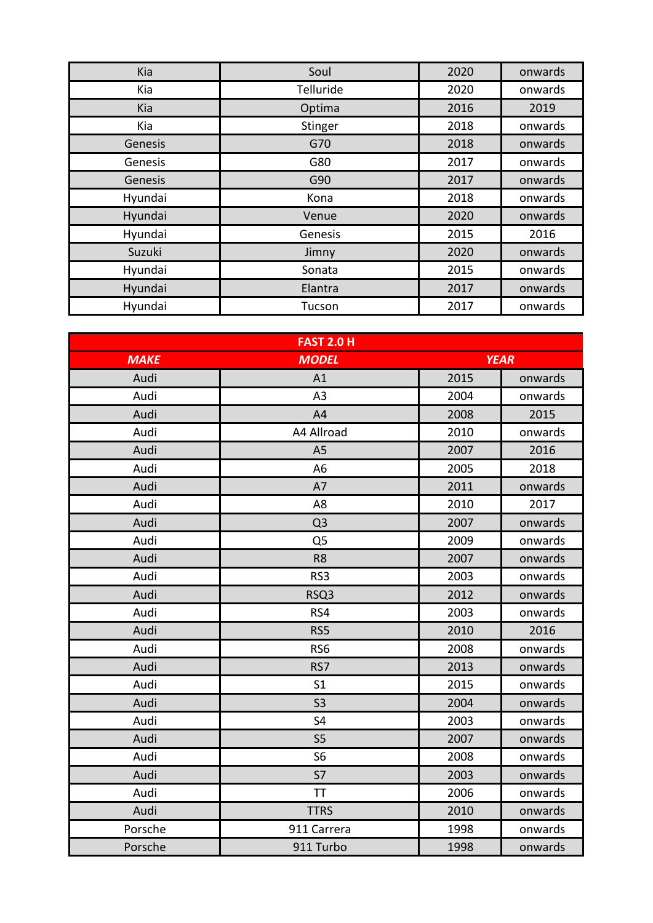| Kia     | Soul      | 2020 | onwards |
|---------|-----------|------|---------|
| Kia     | Telluride | 2020 | onwards |
| Kia     | Optima    | 2016 | 2019    |
| Kia     | Stinger   | 2018 | onwards |
| Genesis | G70       | 2018 | onwards |
| Genesis | G80       | 2017 | onwards |
| Genesis | G90       | 2017 | onwards |
| Hyundai | Kona      | 2018 | onwards |
| Hyundai | Venue     | 2020 | onwards |
| Hyundai | Genesis   | 2015 | 2016    |
| Suzuki  | Jimny     | 2020 | onwards |
| Hyundai | Sonata    | 2015 | onwards |
| Hyundai | Elantra   | 2017 | onwards |
| Hyundai | Tucson    | 2017 | onwards |

| <b>FAST 2.0 H</b> |                 |             |         |
|-------------------|-----------------|-------------|---------|
| <b>MAKE</b>       | <b>MODEL</b>    | <b>YEAR</b> |         |
| Audi              | A1              | 2015        | onwards |
| Audi              | A <sub>3</sub>  | 2004        | onwards |
| Audi              | A4              | 2008        | 2015    |
| Audi              | A4 Allroad      | 2010        | onwards |
| Audi              | A <sub>5</sub>  | 2007        | 2016    |
| Audi              | A <sub>6</sub>  | 2005        | 2018    |
| Audi              | A7              | 2011        | onwards |
| Audi              | A <sub>8</sub>  | 2010        | 2017    |
| Audi              | Q <sub>3</sub>  | 2007        | onwards |
| Audi              | Q <sub>5</sub>  | 2009        | onwards |
| Audi              | R <sub>8</sub>  | 2007        | onwards |
| Audi              | RS3             | 2003        | onwards |
| Audi              | RSQ3            | 2012        | onwards |
| Audi              | RS4             | 2003        | onwards |
| Audi              | RS5             | 2010        | 2016    |
| Audi              | RS <sub>6</sub> | 2008        | onwards |
| Audi              | RS7             | 2013        | onwards |
| Audi              | S <sub>1</sub>  | 2015        | onwards |
| Audi              | S <sub>3</sub>  | 2004        | onwards |
| Audi              | S <sub>4</sub>  | 2003        | onwards |
| Audi              | S <sub>5</sub>  | 2007        | onwards |
| Audi              | S <sub>6</sub>  | 2008        | onwards |
| Audi              | S7              | 2003        | onwards |
| Audi              | <b>TT</b>       | 2006        | onwards |
| Audi              | <b>TTRS</b>     | 2010        | onwards |
| Porsche           | 911 Carrera     | 1998        | onwards |
| Porsche           | 911 Turbo       | 1998        | onwards |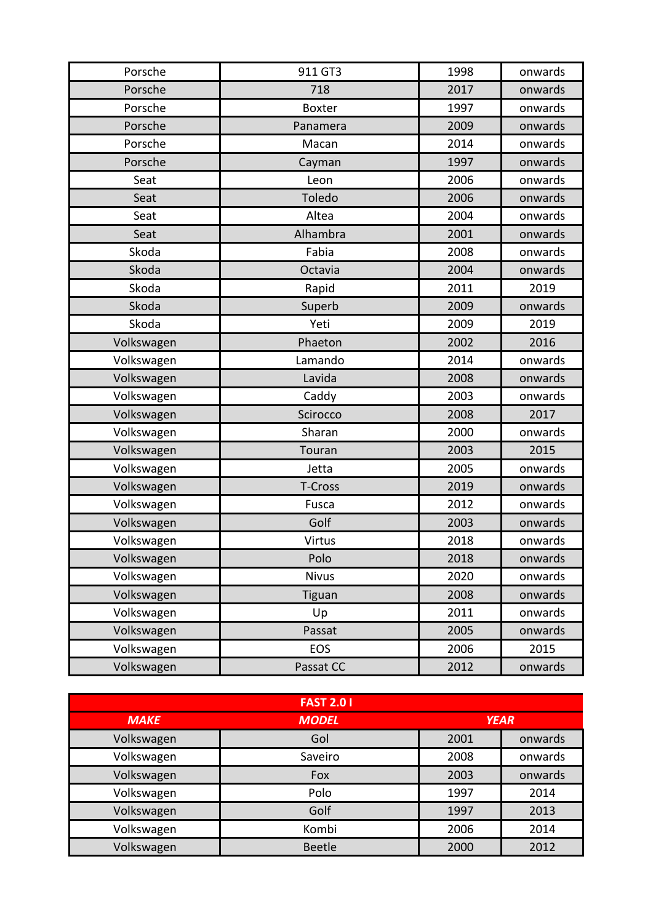| Porsche    | 911 GT3       | 1998 | onwards |
|------------|---------------|------|---------|
| Porsche    | 718           | 2017 | onwards |
| Porsche    | <b>Boxter</b> | 1997 | onwards |
| Porsche    | Panamera      | 2009 | onwards |
| Porsche    | Macan         | 2014 | onwards |
| Porsche    | Cayman        | 1997 | onwards |
| Seat       | Leon          | 2006 | onwards |
| Seat       | Toledo        | 2006 | onwards |
| Seat       | Altea         | 2004 | onwards |
| Seat       | Alhambra      | 2001 | onwards |
| Skoda      | Fabia         | 2008 | onwards |
| Skoda      | Octavia       | 2004 | onwards |
| Skoda      | Rapid         | 2011 | 2019    |
| Skoda      | Superb        | 2009 | onwards |
| Skoda      | Yeti          | 2009 | 2019    |
| Volkswagen | Phaeton       | 2002 | 2016    |
| Volkswagen | Lamando       | 2014 | onwards |
| Volkswagen | Lavida        | 2008 | onwards |
| Volkswagen | Caddy         | 2003 | onwards |
| Volkswagen | Scirocco      | 2008 | 2017    |
| Volkswagen | Sharan        | 2000 | onwards |
| Volkswagen | Touran        | 2003 | 2015    |
| Volkswagen | Jetta         | 2005 | onwards |
| Volkswagen | T-Cross       | 2019 | onwards |
| Volkswagen | Fusca         | 2012 | onwards |
| Volkswagen | Golf          | 2003 | onwards |
| Volkswagen | Virtus        | 2018 | onwards |
| Volkswagen | Polo          | 2018 | onwards |
| Volkswagen | <b>Nivus</b>  | 2020 | onwards |
| Volkswagen | Tiguan        | 2008 | onwards |
| Volkswagen | Up            | 2011 | onwards |
| Volkswagen | Passat        | 2005 | onwards |
| Volkswagen | <b>EOS</b>    | 2006 | 2015    |
| Volkswagen | Passat CC     | 2012 | onwards |

| <b>FAST 2.01</b> |               |             |         |
|------------------|---------------|-------------|---------|
| <b>MAKE</b>      | <b>MODEL</b>  | <b>YEAR</b> |         |
| Volkswagen       | Gol           | 2001        | onwards |
| Volkswagen       | Saveiro       | 2008        | onwards |
| Volkswagen       | Fox           | 2003        | onwards |
| Volkswagen       | Polo          | 1997        | 2014    |
| Volkswagen       | Golf          | 1997        | 2013    |
| Volkswagen       | Kombi         | 2006        | 2014    |
| Volkswagen       | <b>Beetle</b> | 2000        | 2012    |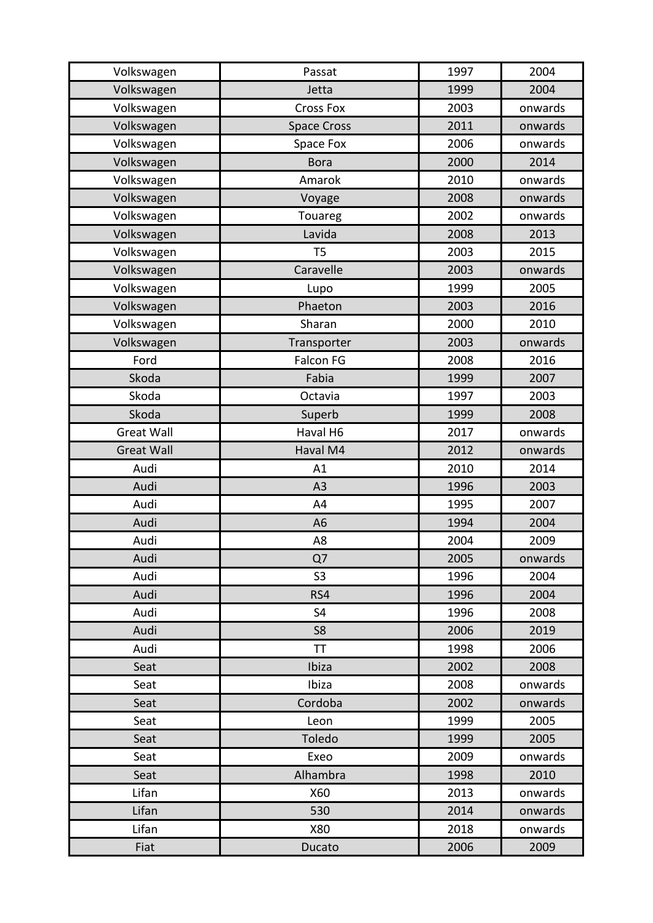| Volkswagen        | Passat             | 1997 | 2004    |
|-------------------|--------------------|------|---------|
| Volkswagen        | Jetta              | 1999 | 2004    |
| Volkswagen        | <b>Cross Fox</b>   | 2003 | onwards |
| Volkswagen        | <b>Space Cross</b> | 2011 | onwards |
| Volkswagen        | Space Fox          | 2006 | onwards |
| Volkswagen        | <b>Bora</b>        | 2000 | 2014    |
| Volkswagen        | Amarok             | 2010 | onwards |
| Volkswagen        | Voyage             | 2008 | onwards |
| Volkswagen        | Touareg            | 2002 | onwards |
| Volkswagen        | Lavida             | 2008 | 2013    |
| Volkswagen        | T <sub>5</sub>     | 2003 | 2015    |
| Volkswagen        | Caravelle          | 2003 | onwards |
| Volkswagen        | Lupo               | 1999 | 2005    |
| Volkswagen        | Phaeton            | 2003 | 2016    |
| Volkswagen        | Sharan             | 2000 | 2010    |
| Volkswagen        | Transporter        | 2003 | onwards |
| Ford              | <b>Falcon FG</b>   | 2008 | 2016    |
| Skoda             | Fabia              | 1999 | 2007    |
| Skoda             | Octavia            | 1997 | 2003    |
| Skoda             | Superb             | 1999 | 2008    |
| <b>Great Wall</b> | Haval H6           | 2017 | onwards |
| <b>Great Wall</b> | Haval M4           | 2012 | onwards |
| Audi              | A1                 | 2010 | 2014    |
| Audi              | A3                 | 1996 | 2003    |
| Audi              | A4                 | 1995 | 2007    |
| Audi              | A <sub>6</sub>     | 1994 | 2004    |
| Audi              | A <sub>8</sub>     | 2004 | 2009    |
| Audi              | Q7                 | 2005 | onwards |
| Audi              | S <sub>3</sub>     | 1996 | 2004    |
| Audi              | RS4                | 1996 | 2004    |
| Audi              | S <sub>4</sub>     | 1996 | 2008    |
| Audi              | S <sub>8</sub>     | 2006 | 2019    |
| Audi              | TT                 | 1998 | 2006    |
| Seat              | Ibiza              | 2002 | 2008    |
| Seat              | Ibiza              | 2008 | onwards |
| Seat              | Cordoba            | 2002 | onwards |
| Seat              | Leon               | 1999 | 2005    |
| Seat              | Toledo             | 1999 | 2005    |
| Seat              | Exeo               | 2009 | onwards |
| Seat              | Alhambra           | 1998 | 2010    |
| Lifan             | X60                | 2013 | onwards |
| Lifan             | 530                | 2014 | onwards |
| Lifan             | X80                | 2018 | onwards |
| Fiat              | Ducato             | 2006 | 2009    |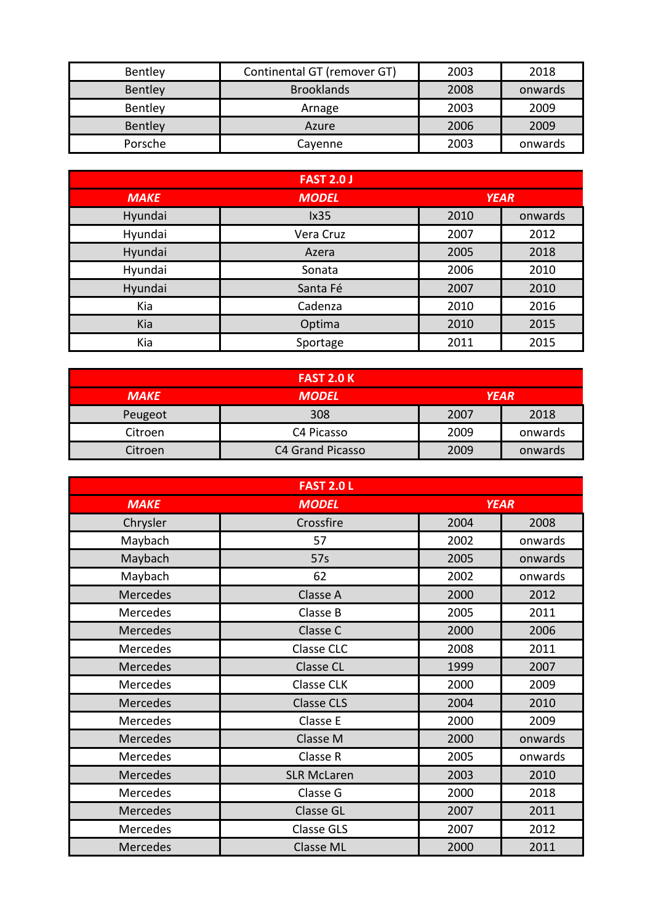| Bentley | Continental GT (remover GT) | 2003 | 2018    |
|---------|-----------------------------|------|---------|
| Bentley | <b>Brooklands</b>           | 2008 | onwards |
| Bentley | Arnage                      | 2003 | 2009    |
| Bentley | Azure                       | 2006 | 2009    |
| Porsche | Cavenne                     | 2003 | onwards |

| <b>FAST 2.0 J</b> |              |             |         |
|-------------------|--------------|-------------|---------|
| <b>MAKE</b>       | <b>MODEL</b> | <b>YEAR</b> |         |
| Hyundai           | lx35         | 2010        | onwards |
| Hyundai           | Vera Cruz    | 2007        | 2012    |
| Hyundai           | Azera        | 2005        | 2018    |
| Hyundai           | Sonata       | 2006        | 2010    |
| Hyundai           | Santa Fé     | 2007        | 2010    |
| Kia               | Cadenza      | 2010        | 2016    |
| Kia               | Optima       | 2010        | 2015    |
| Kia               | Sportage     | 2011        | 2015    |

| <b>FAST 2.0 K</b> |                         |             |         |
|-------------------|-------------------------|-------------|---------|
| <b>MAKE</b>       | <b>MODEL</b>            | <b>YEAR</b> |         |
| Peugeot           | 308                     | 2007        | 2018    |
| Citroen           | C4 Picasso              | 2009        | onwards |
| Citroen           | <b>C4 Grand Picasso</b> | 2009        | onwards |

|                 | <b>FAST 2.0 L</b>  |             |         |
|-----------------|--------------------|-------------|---------|
| <b>MAKE</b>     | <b>MODEL</b>       | <b>YEAR</b> |         |
| Chrysler        | Crossfire          | 2004        | 2008    |
| Maybach         | 57                 | 2002        | onwards |
| Maybach         | 57s                | 2005        | onwards |
| Maybach         | 62                 | 2002        | onwards |
| <b>Mercedes</b> | Classe A           | 2000        | 2012    |
| Mercedes        | Classe B           | 2005        | 2011    |
| Mercedes        | Classe C           | 2000        | 2006    |
| Mercedes        | Classe CLC         | 2008        | 2011    |
| Mercedes        | <b>Classe CL</b>   | 1999        | 2007    |
| Mercedes        | <b>Classe CLK</b>  | 2000        | 2009    |
| Mercedes        | <b>Classe CLS</b>  | 2004        | 2010    |
| Mercedes        | Classe E           | 2000        | 2009    |
| Mercedes        | Classe M           | 2000        | onwards |
| Mercedes        | Classe R           | 2005        | onwards |
| Mercedes        | <b>SLR McLaren</b> | 2003        | 2010    |
| Mercedes        | Classe G           | 2000        | 2018    |
| <b>Mercedes</b> | <b>Classe GL</b>   | 2007        | 2011    |
| Mercedes        | <b>Classe GLS</b>  | 2007        | 2012    |
| <b>Mercedes</b> | <b>Classe ML</b>   | 2000        | 2011    |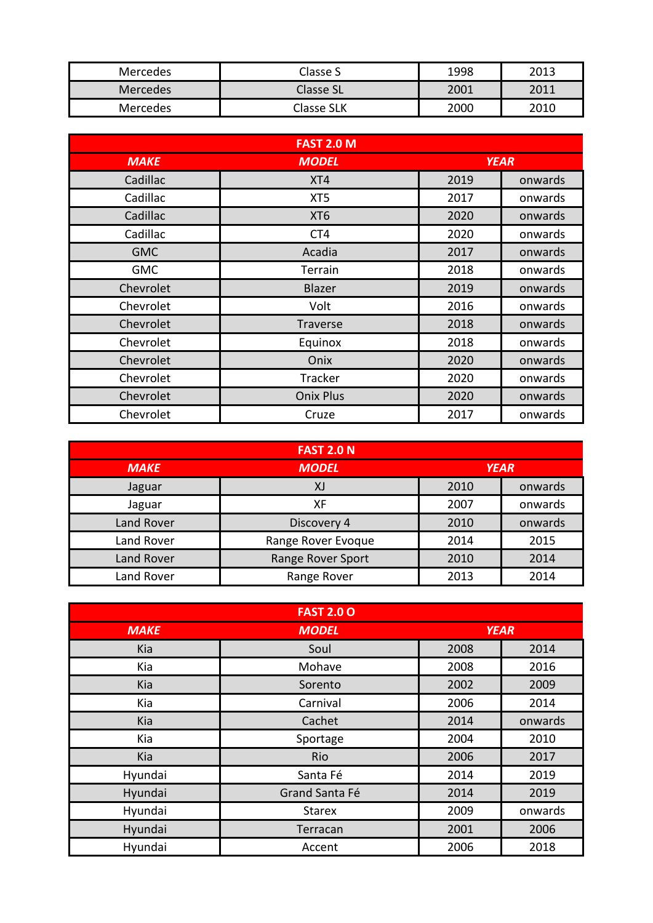| <b>Mercedes</b> | Classe S         | 1998 | 2013 |
|-----------------|------------------|------|------|
| <b>Mercedes</b> | <b>Classe SL</b> | 2001 | 2011 |
| Mercedes        | Classe SLK       | 2000 | 2010 |

| <b>FAST 2.0 M</b> |                  |             |         |
|-------------------|------------------|-------------|---------|
| <b>MAKE</b>       | <b>MODEL</b>     | <b>YEAR</b> |         |
| Cadillac          | XT4              | 2019        | onwards |
| Cadillac          | XT <sub>5</sub>  | 2017        | onwards |
| Cadillac          | XT <sub>6</sub>  | 2020        | onwards |
| Cadillac          | CT4              | 2020        | onwards |
| <b>GMC</b>        | Acadia           | 2017        | onwards |
| <b>GMC</b>        | Terrain          | 2018        | onwards |
| Chevrolet         | Blazer           | 2019        | onwards |
| Chevrolet         | Volt             | 2016        | onwards |
| Chevrolet         | Traverse         | 2018        | onwards |
| Chevrolet         | Equinox          | 2018        | onwards |
| Chevrolet         | Onix             | 2020        | onwards |
| Chevrolet         | Tracker          | 2020        | onwards |
| Chevrolet         | <b>Onix Plus</b> | 2020        | onwards |
| Chevrolet         | Cruze            | 2017        | onwards |

| <b>FAST 2.0 N</b> |                    |             |         |
|-------------------|--------------------|-------------|---------|
| <b>MAKE</b>       | <b>MODEL</b>       | <b>YEAR</b> |         |
| Jaguar            | XJ                 | 2010        | onwards |
| Jaguar            | XF                 | 2007        | onwards |
| <b>Land Rover</b> | Discovery 4        | 2010        | onwards |
| Land Rover        | Range Rover Evoque | 2014        | 2015    |
| <b>Land Rover</b> | Range Rover Sport  | 2010        | 2014    |
| Land Rover        | Range Rover        | 2013        | 2014    |

| <b>FAST 2.0 O</b> |                |             |         |
|-------------------|----------------|-------------|---------|
| <b>MAKE</b>       | <b>MODEL</b>   | <b>YEAR</b> |         |
| Kia               | Soul           | 2008        | 2014    |
| Kia               | Mohave         | 2008        | 2016    |
| Kia               | Sorento        | 2002        | 2009    |
| Kia               | Carnival       | 2006        | 2014    |
| Kia               | Cachet         | 2014        | onwards |
| Kia               | Sportage       | 2004        | 2010    |
| Kia               | <b>Rio</b>     | 2006        | 2017    |
| Hyundai           | Santa Fé       | 2014        | 2019    |
| Hyundai           | Grand Santa Fé | 2014        | 2019    |
| Hyundai           | <b>Starex</b>  | 2009        | onwards |
| Hyundai           | Terracan       | 2001        | 2006    |
| Hyundai           | Accent         | 2006        | 2018    |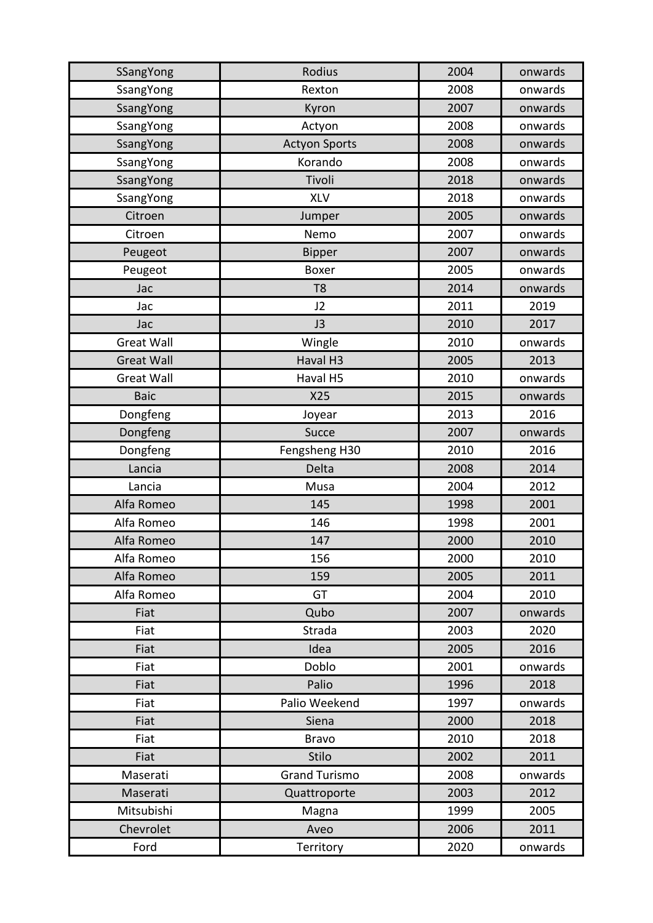| SSangYong         | Rodius               | 2004 | onwards |
|-------------------|----------------------|------|---------|
| SsangYong         | Rexton               | 2008 | onwards |
| SsangYong         | Kyron                | 2007 | onwards |
| SsangYong         | Actyon               | 2008 | onwards |
| SsangYong         | <b>Actyon Sports</b> | 2008 | onwards |
| SsangYong         | Korando              | 2008 | onwards |
| SsangYong         | Tivoli               | 2018 | onwards |
| SsangYong         | <b>XLV</b>           | 2018 | onwards |
| Citroen           | Jumper               | 2005 | onwards |
| Citroen           | Nemo                 | 2007 | onwards |
| Peugeot           | <b>Bipper</b>        | 2007 | onwards |
| Peugeot           | <b>Boxer</b>         | 2005 | onwards |
| Jac               | T <sub>8</sub>       | 2014 | onwards |
| Jac               | J2                   | 2011 | 2019    |
| Jac               | J3                   | 2010 | 2017    |
| <b>Great Wall</b> | Wingle               | 2010 | onwards |
| <b>Great Wall</b> | Haval H3             | 2005 | 2013    |
| <b>Great Wall</b> | Haval H5             | 2010 | onwards |
| <b>Baic</b>       | X25                  | 2015 | onwards |
| Dongfeng          | Joyear               | 2013 | 2016    |
| Dongfeng          | Succe                | 2007 | onwards |
| Dongfeng          | Fengsheng H30        | 2010 | 2016    |
| Lancia            | Delta                | 2008 | 2014    |
| Lancia            | Musa                 | 2004 | 2012    |
| Alfa Romeo        | 145                  | 1998 | 2001    |
| Alfa Romeo        | 146                  | 1998 | 2001    |
| Alfa Romeo        | 147                  | 2000 | 2010    |
| Alfa Romeo        | 156                  | 2000 | 2010    |
| Alfa Romeo        | 159                  | 2005 | 2011    |
| Alfa Romeo        | GT                   | 2004 | 2010    |
| Fiat              | Qubo                 | 2007 | onwards |
| Fiat              | Strada               | 2003 | 2020    |
| Fiat              | Idea                 | 2005 | 2016    |
| Fiat              | Doblo                | 2001 | onwards |
| Fiat              | Palio                | 1996 | 2018    |
| Fiat              | Palio Weekend        | 1997 | onwards |
| Fiat              | Siena                | 2000 | 2018    |
| Fiat              | <b>Bravo</b>         | 2010 | 2018    |
| Fiat              | <b>Stilo</b>         | 2002 | 2011    |
| Maserati          | <b>Grand Turismo</b> | 2008 | onwards |
| Maserati          | Quattroporte         | 2003 | 2012    |
| Mitsubishi        | Magna                | 1999 | 2005    |
| Chevrolet         | Aveo                 | 2006 | 2011    |
| Ford              | Territory            | 2020 | onwards |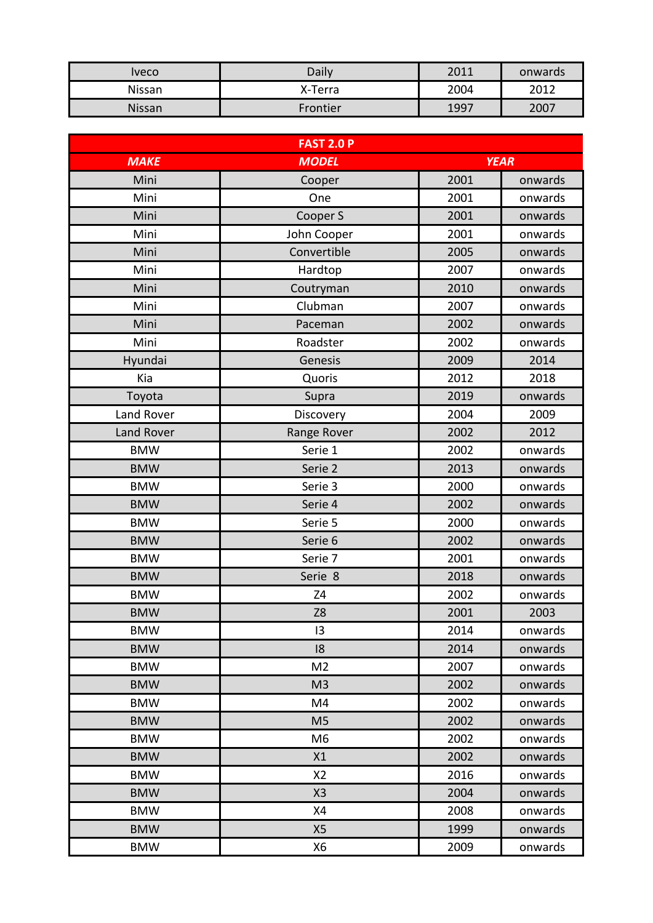| Iveco  | Daily    | 2011 | onwards |
|--------|----------|------|---------|
| Nissan | X-Terra  | 2004 | 2012    |
| Nissan | Frontier | 1997 | 2007    |

| <b>FAST 2.0 P</b> |                |      |             |
|-------------------|----------------|------|-------------|
| <b>MAKE</b>       | <b>MODEL</b>   |      | <b>YEAR</b> |
| Mini              | Cooper         | 2001 | onwards     |
| Mini              | One            | 2001 | onwards     |
| Mini              | Cooper S       | 2001 | onwards     |
| Mini              | John Cooper    | 2001 | onwards     |
| Mini              | Convertible    | 2005 | onwards     |
| Mini              | Hardtop        | 2007 | onwards     |
| Mini              | Coutryman      | 2010 | onwards     |
| Mini              | Clubman        | 2007 | onwards     |
| Mini              | Paceman        | 2002 | onwards     |
| Mini              | Roadster       | 2002 | onwards     |
| Hyundai           | Genesis        | 2009 | 2014        |
| Kia               | Quoris         | 2012 | 2018        |
| Toyota            | Supra          | 2019 | onwards     |
| Land Rover        | Discovery      | 2004 | 2009        |
| <b>Land Rover</b> | Range Rover    | 2002 | 2012        |
| <b>BMW</b>        | Serie 1        | 2002 | onwards     |
| <b>BMW</b>        | Serie 2        | 2013 | onwards     |
| <b>BMW</b>        | Serie 3        | 2000 | onwards     |
| <b>BMW</b>        | Serie 4        | 2002 | onwards     |
| <b>BMW</b>        | Serie 5        | 2000 | onwards     |
| <b>BMW</b>        | Serie 6        | 2002 | onwards     |
| <b>BMW</b>        | Serie 7        | 2001 | onwards     |
| <b>BMW</b>        | Serie 8        | 2018 | onwards     |
| <b>BMW</b>        | Z4             | 2002 | onwards     |
| <b>BMW</b>        | Z8             | 2001 | 2003        |
| <b>BMW</b>        | 13             | 2014 | onwards     |
| <b>BMW</b>        | 18             | 2014 | onwards     |
| <b>BMW</b>        | M <sub>2</sub> | 2007 | onwards     |
| <b>BMW</b>        | M <sub>3</sub> | 2002 | onwards     |
| <b>BMW</b>        | M4             | 2002 | onwards     |
| <b>BMW</b>        | M <sub>5</sub> | 2002 | onwards     |
| <b>BMW</b>        | M <sub>6</sub> | 2002 | onwards     |
| <b>BMW</b>        | X1             | 2002 | onwards     |
| <b>BMW</b>        | X <sub>2</sub> | 2016 | onwards     |
| <b>BMW</b>        | X3             | 2004 | onwards     |
| <b>BMW</b>        | X4             | 2008 | onwards     |
| <b>BMW</b>        | X <sub>5</sub> | 1999 | onwards     |
| <b>BMW</b>        | X6             | 2009 | onwards     |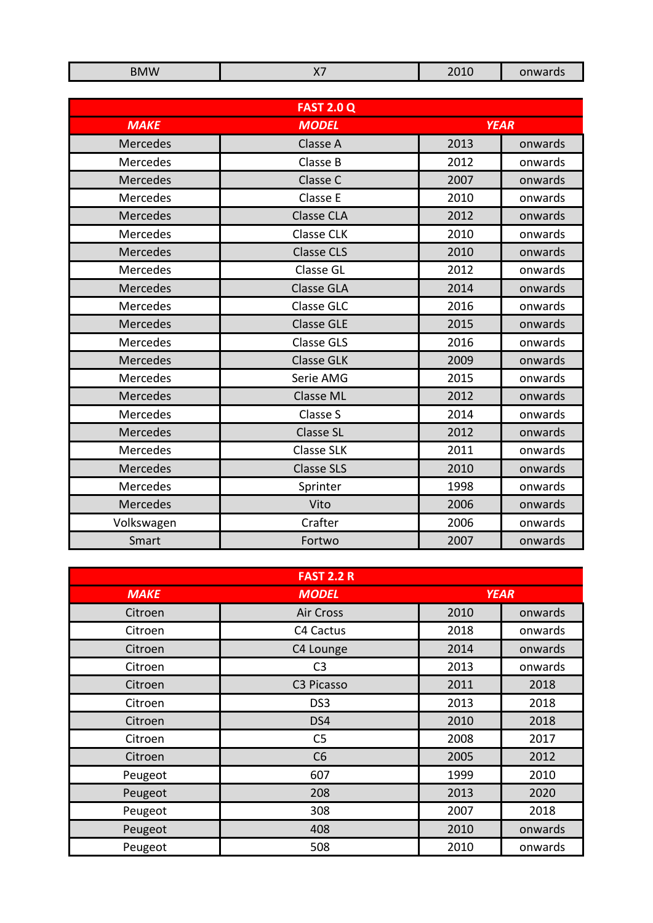| <b>BMW</b>      | <b>X7</b>         | 2010 | onwards     |
|-----------------|-------------------|------|-------------|
|                 |                   |      |             |
|                 | <b>FAST 2.0 Q</b> |      |             |
| <b>MAKE</b>     | <b>MODEL</b>      |      | <b>YEAR</b> |
| <b>Mercedes</b> | Classe A          | 2013 | onwards     |
| Mercedes        | Classe B          | 2012 | onwards     |
| Mercedes        | Classe C          | 2007 | onwards     |
| Mercedes        | Classe E          | 2010 | onwards     |
| <b>Mercedes</b> | <b>Classe CLA</b> | 2012 | onwards     |
| Mercedes        | <b>Classe CLK</b> | 2010 | onwards     |
| Mercedes        | <b>Classe CLS</b> | 2010 | onwards     |
| Mercedes        | Classe GL         | 2012 | onwards     |
| <b>Mercedes</b> | <b>Classe GLA</b> | 2014 | onwards     |
| Mercedes        | <b>Classe GLC</b> | 2016 | onwards     |
| <b>Mercedes</b> | <b>Classe GLE</b> | 2015 | onwards     |
| Mercedes        | <b>Classe GLS</b> | 2016 | onwards     |
| <b>Mercedes</b> | <b>Classe GLK</b> | 2009 | onwards     |
| Mercedes        | Serie AMG         | 2015 | onwards     |
| <b>Mercedes</b> | <b>Classe ML</b>  | 2012 | onwards     |
| Mercedes        | Classe S          | 2014 | onwards     |
| <b>Mercedes</b> | <b>Classe SL</b>  | 2012 | onwards     |
| Mercedes        | <b>Classe SLK</b> | 2011 | onwards     |
| <b>Mercedes</b> | <b>Classe SLS</b> | 2010 | onwards     |
| Mercedes        | Sprinter          | 1998 | onwards     |
| Mercedes        | Vito              | 2006 | onwards     |
| Volkswagen      | Crafter           | 2006 | onwards     |
| Smart           | Fortwo            | 2007 | onwards     |

| <b>FAST 2.2 R</b> |                  |             |         |
|-------------------|------------------|-------------|---------|
| <b>MAKE</b>       | <b>MODEL</b>     | <b>YEAR</b> |         |
| Citroen           | <b>Air Cross</b> | 2010        | onwards |
| Citroen           | C4 Cactus        | 2018        | onwards |
| Citroen           | C4 Lounge        | 2014        | onwards |
| Citroen           | C <sub>3</sub>   | 2013        | onwards |
| Citroen           | C3 Picasso       | 2011        | 2018    |
| Citroen           | DS3              | 2013        | 2018    |
| Citroen           | DS4              | 2010        | 2018    |
| Citroen           | C <sub>5</sub>   | 2008        | 2017    |
| Citroen           | C6               | 2005        | 2012    |
| Peugeot           | 607              | 1999        | 2010    |
| Peugeot           | 208              | 2013        | 2020    |
| Peugeot           | 308              | 2007        | 2018    |
| Peugeot           | 408              | 2010        | onwards |
| Peugeot           | 508              | 2010        | onwards |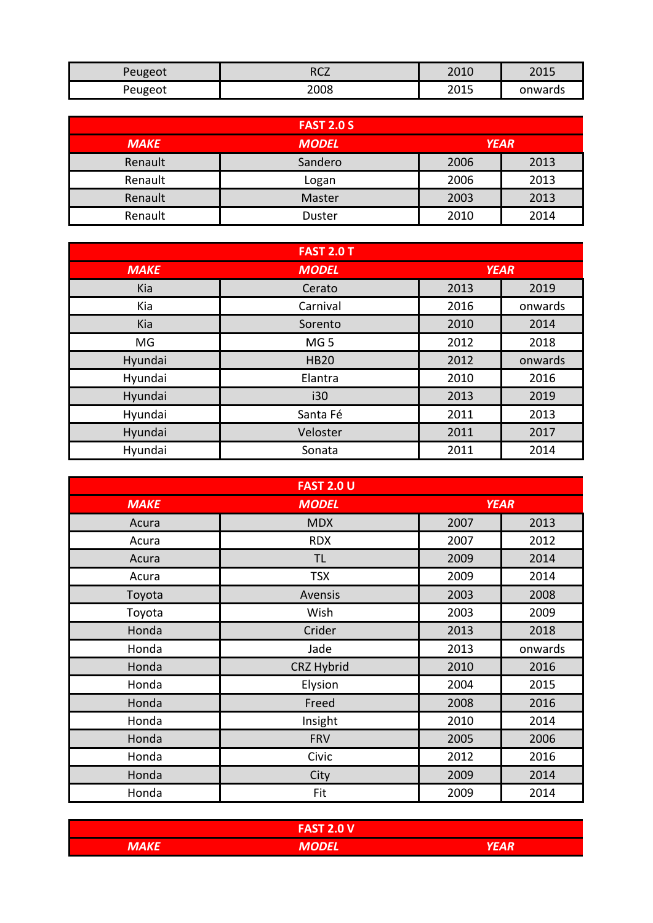| Peugeot | ר^ס  | 2010 | ว∩1 E   |
|---------|------|------|---------|
|         | ℩℩ℂℤ | zuiu | 2013    |
| Peugeot | 2008 | 2015 | onwards |

|             | <b>FAST 2.0 S</b> |             |      |
|-------------|-------------------|-------------|------|
| <b>MAKE</b> | <b>MODEL</b>      | <b>YEAR</b> |      |
| Renault     | Sandero           | 2006        | 2013 |
| Renault     | Logan             | 2006        | 2013 |
| Renault     | Master            | 2003        | 2013 |
| Renault     | <b>Duster</b>     | 2010        | 2014 |

| <b>FAST 2.0 T</b> |                 |             |         |
|-------------------|-----------------|-------------|---------|
| <b>MAKE</b>       | <b>MODEL</b>    | <b>YEAR</b> |         |
| Kia               | Cerato          | 2013        | 2019    |
| Kia               | Carnival        | 2016        | onwards |
| Kia               | Sorento         | 2010        | 2014    |
| MG                | MG <sub>5</sub> | 2012        | 2018    |
| Hyundai           | <b>HB20</b>     | 2012        | onwards |
| Hyundai           | Elantra         | 2010        | 2016    |
| Hyundai           | i30             | 2013        | 2019    |
| Hyundai           | Santa Fé        | 2011        | 2013    |
| Hyundai           | Veloster        | 2011        | 2017    |
| Hyundai           | Sonata          | 2011        | 2014    |

| <b>FAST 2.0 U</b> |              |             |         |
|-------------------|--------------|-------------|---------|
| <b>MAKE</b>       | <b>MODEL</b> | <b>YEAR</b> |         |
| Acura             | <b>MDX</b>   | 2007        | 2013    |
| Acura             | <b>RDX</b>   | 2007        | 2012    |
| Acura             | <b>TL</b>    | 2009        | 2014    |
| Acura             | <b>TSX</b>   | 2009        | 2014    |
| Toyota            | Avensis      | 2003        | 2008    |
| Toyota            | Wish         | 2003        | 2009    |
| Honda             | Crider       | 2013        | 2018    |
| Honda             | Jade         | 2013        | onwards |
| Honda             | CRZ Hybrid   | 2010        | 2016    |
| Honda             | Elysion      | 2004        | 2015    |
| Honda             | Freed        | 2008        | 2016    |
| Honda             | Insight      | 2010        | 2014    |
| Honda             | <b>FRV</b>   | 2005        | 2006    |
| Honda             | Civic        | 2012        | 2016    |
| Honda             | City         | 2009        | 2014    |
| Honda             | Fit          | 2009        | 2014    |

|             | CT2011<br><b>Z.U V</b><br>гдэ |   |
|-------------|-------------------------------|---|
| <b>MAKE</b> | <b>IVIUDLL</b>                | . |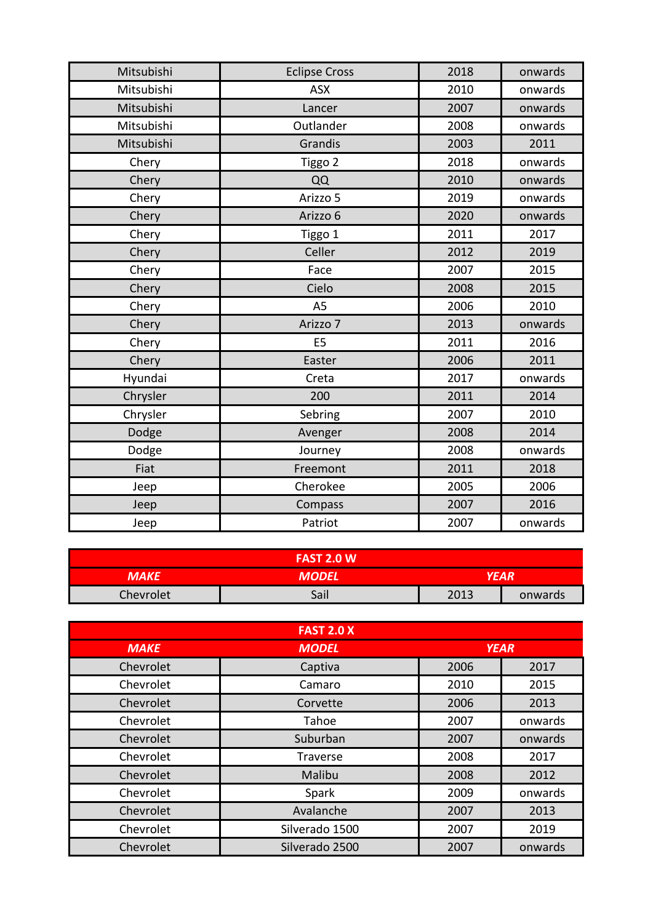| Mitsubishi | <b>Eclipse Cross</b> | 2018 | onwards |
|------------|----------------------|------|---------|
| Mitsubishi | <b>ASX</b>           | 2010 | onwards |
| Mitsubishi | Lancer               | 2007 | onwards |
| Mitsubishi | Outlander            | 2008 | onwards |
| Mitsubishi | Grandis              | 2003 | 2011    |
| Chery      | Tiggo 2              | 2018 | onwards |
| Chery      | QQ                   | 2010 | onwards |
| Chery      | Arizzo 5             | 2019 | onwards |
| Chery      | Arizzo 6             | 2020 | onwards |
| Chery      | Tiggo 1              | 2011 | 2017    |
| Chery      | Celler               | 2012 | 2019    |
| Chery      | Face                 | 2007 | 2015    |
| Chery      | Cielo                | 2008 | 2015    |
| Chery      | A <sub>5</sub>       | 2006 | 2010    |
| Chery      | Arizzo 7             | 2013 | onwards |
| Chery      | E <sub>5</sub>       | 2011 | 2016    |
| Chery      | Easter               | 2006 | 2011    |
| Hyundai    | Creta                | 2017 | onwards |
| Chrysler   | 200                  | 2011 | 2014    |
| Chrysler   | Sebring              | 2007 | 2010    |
| Dodge      | Avenger              | 2008 | 2014    |
| Dodge      | Journey              | 2008 | onwards |
| Fiat       | Freemont             | 2011 | 2018    |
| Jeep       | Cherokee             | 2005 | 2006    |
| Jeep       | Compass              | 2007 | 2016    |
| Jeep       | Patriot              | 2007 | onwards |

|           | <b>FAST 2.0 W</b> |      |         |
|-----------|-------------------|------|---------|
| MAKE      | MODEL             |      | YEAR    |
| Chevrolet | Sail              | 2013 | onwards |

|             | <b>FAST 2.0 X</b> |             |         |
|-------------|-------------------|-------------|---------|
| <b>MAKE</b> | <b>MODEL</b>      | <b>YEAR</b> |         |
| Chevrolet   | Captiva           | 2006        | 2017    |
| Chevrolet   | Camaro            | 2010        | 2015    |
| Chevrolet   | Corvette          | 2006        | 2013    |
| Chevrolet   | Tahoe             | 2007        | onwards |
| Chevrolet   | Suburban          | 2007        | onwards |
| Chevrolet   | <b>Traverse</b>   | 2008        | 2017    |
| Chevrolet   | Malibu            | 2008        | 2012    |
| Chevrolet   | Spark             | 2009        | onwards |
| Chevrolet   | Avalanche         | 2007        | 2013    |
| Chevrolet   | Silverado 1500    | 2007        | 2019    |
| Chevrolet   | Silverado 2500    | 2007        | onwards |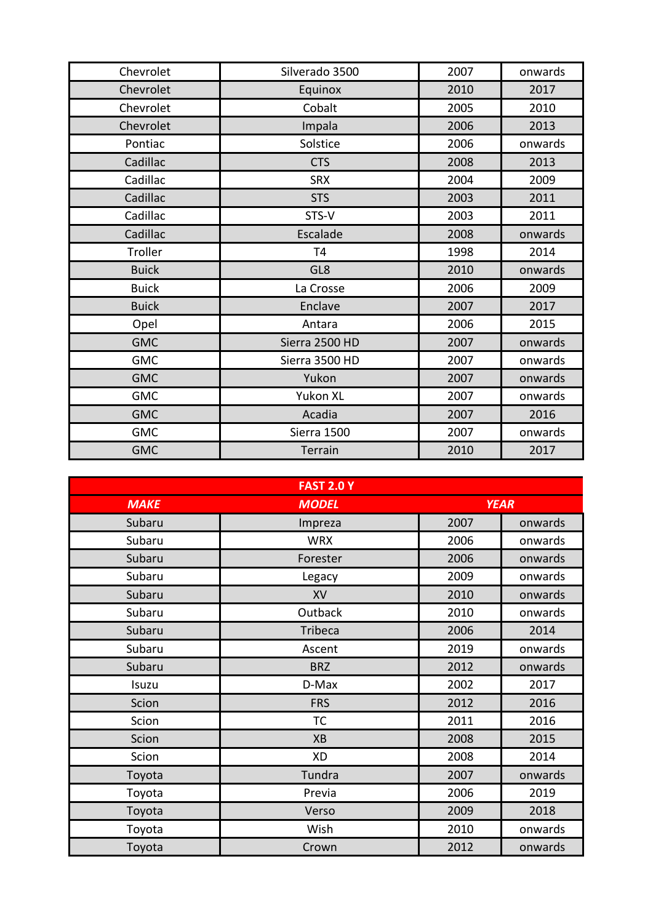| Chevrolet    | Silverado 3500 | 2007 | onwards |
|--------------|----------------|------|---------|
| Chevrolet    | Equinox        | 2010 | 2017    |
| Chevrolet    | Cobalt         | 2005 | 2010    |
| Chevrolet    | Impala         | 2006 | 2013    |
| Pontiac      | Solstice       | 2006 | onwards |
| Cadillac     | <b>CTS</b>     | 2008 | 2013    |
| Cadillac     | <b>SRX</b>     | 2004 | 2009    |
| Cadillac     | <b>STS</b>     | 2003 | 2011    |
| Cadillac     | STS-V          | 2003 | 2011    |
| Cadillac     | Escalade       | 2008 | onwards |
| Troller      | T <sub>4</sub> | 1998 | 2014    |
| <b>Buick</b> | GL8            | 2010 | onwards |
| <b>Buick</b> | La Crosse      | 2006 | 2009    |
| <b>Buick</b> | Enclave        | 2007 | 2017    |
| Opel         | Antara         | 2006 | 2015    |
| <b>GMC</b>   | Sierra 2500 HD | 2007 | onwards |
| <b>GMC</b>   | Sierra 3500 HD | 2007 | onwards |
| <b>GMC</b>   | Yukon          | 2007 | onwards |
| <b>GMC</b>   | Yukon XL       | 2007 | onwards |
| <b>GMC</b>   | Acadia         | 2007 | 2016    |
| <b>GMC</b>   | Sierra 1500    | 2007 | onwards |
| <b>GMC</b>   | Terrain        | 2010 | 2017    |

|             | <b>FAST 2.0 Y</b> |             |         |
|-------------|-------------------|-------------|---------|
| <b>MAKE</b> | <b>MODEL</b>      | <b>YEAR</b> |         |
| Subaru      | Impreza           | 2007        | onwards |
| Subaru      | <b>WRX</b>        | 2006        | onwards |
| Subaru      | Forester          | 2006        | onwards |
| Subaru      | Legacy            | 2009        | onwards |
| Subaru      | XV                | 2010        | onwards |
| Subaru      | Outback           | 2010        | onwards |
| Subaru      | Tribeca           | 2006        | 2014    |
| Subaru      | Ascent            | 2019        | onwards |
| Subaru      | <b>BRZ</b>        | 2012        | onwards |
| Isuzu       | D-Max             | 2002        | 2017    |
| Scion       | <b>FRS</b>        | 2012        | 2016    |
| Scion       | <b>TC</b>         | 2011        | 2016    |
| Scion       | XB                | 2008        | 2015    |
| Scion       | <b>XD</b>         | 2008        | 2014    |
| Toyota      | Tundra            | 2007        | onwards |
| Toyota      | Previa            | 2006        | 2019    |
| Toyota      | Verso             | 2009        | 2018    |
| Toyota      | Wish              | 2010        | onwards |
| Toyota      | Crown             | 2012        | onwards |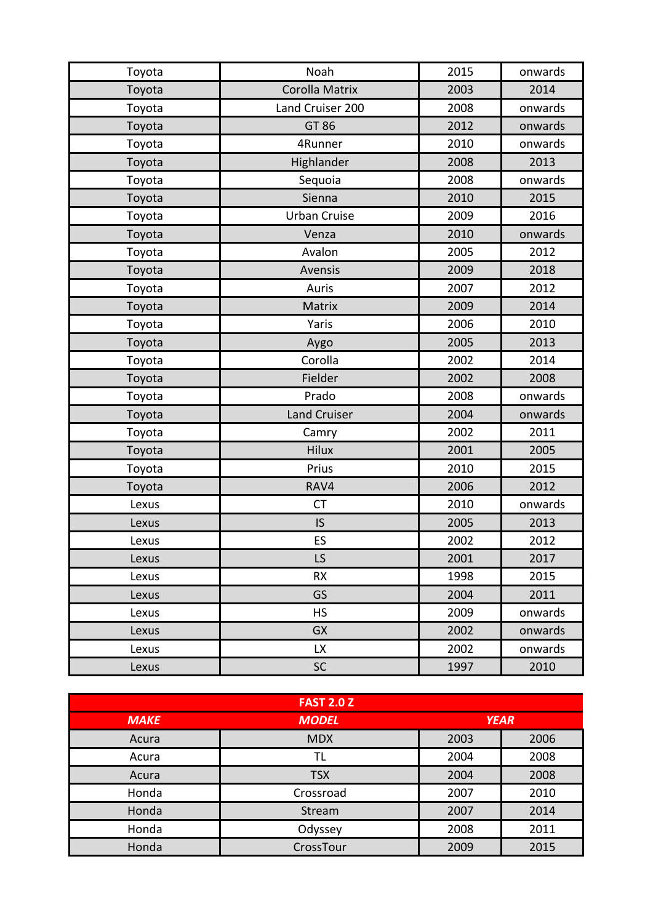| Toyota | Noah                  | 2015 | onwards |
|--------|-----------------------|------|---------|
| Toyota | <b>Corolla Matrix</b> | 2003 | 2014    |
| Toyota | Land Cruiser 200      | 2008 | onwards |
| Toyota | GT 86                 | 2012 | onwards |
| Toyota | 4Runner               | 2010 | onwards |
| Toyota | Highlander            | 2008 | 2013    |
| Toyota | Sequoia               | 2008 | onwards |
| Toyota | Sienna                | 2010 | 2015    |
| Toyota | <b>Urban Cruise</b>   | 2009 | 2016    |
| Toyota | Venza                 | 2010 | onwards |
| Toyota | Avalon                | 2005 | 2012    |
| Toyota | Avensis               | 2009 | 2018    |
| Toyota | Auris                 | 2007 | 2012    |
| Toyota | Matrix                | 2009 | 2014    |
| Toyota | Yaris                 | 2006 | 2010    |
| Toyota | Aygo                  | 2005 | 2013    |
| Toyota | Corolla               | 2002 | 2014    |
| Toyota | Fielder               | 2002 | 2008    |
| Toyota | Prado                 | 2008 | onwards |
| Toyota | <b>Land Cruiser</b>   | 2004 | onwards |
| Toyota | Camry                 | 2002 | 2011    |
| Toyota | <b>Hilux</b>          | 2001 | 2005    |
| Toyota | Prius                 | 2010 | 2015    |
| Toyota | RAV4                  | 2006 | 2012    |
| Lexus  | <b>CT</b>             | 2010 | onwards |
| Lexus  | IS                    | 2005 | 2013    |
| Lexus  | ES                    | 2002 | 2012    |
| Lexus  | LS                    | 2001 | 2017    |
| Lexus  | <b>RX</b>             | 1998 | 2015    |
| Lexus  | GS                    | 2004 | 2011    |
| Lexus  | <b>HS</b>             | 2009 | onwards |
| Lexus  | <b>GX</b>             | 2002 | onwards |
| Lexus  | <b>LX</b>             | 2002 | onwards |
| Lexus  | SC                    | 1997 | 2010    |

| <b>FAST 2.0 Z</b> |              |             |      |
|-------------------|--------------|-------------|------|
| <b>MAKE</b>       | <b>MODEL</b> | <b>YEAR</b> |      |
| Acura             | <b>MDX</b>   | 2003        | 2006 |
| Acura             | TL           | 2004        | 2008 |
| Acura             | <b>TSX</b>   | 2004        | 2008 |
| Honda             | Crossroad    | 2007        | 2010 |
| Honda             | Stream       | 2007        | 2014 |
| Honda             | Odyssey      | 2008        | 2011 |
| Honda             | CrossTour    | 2009        | 2015 |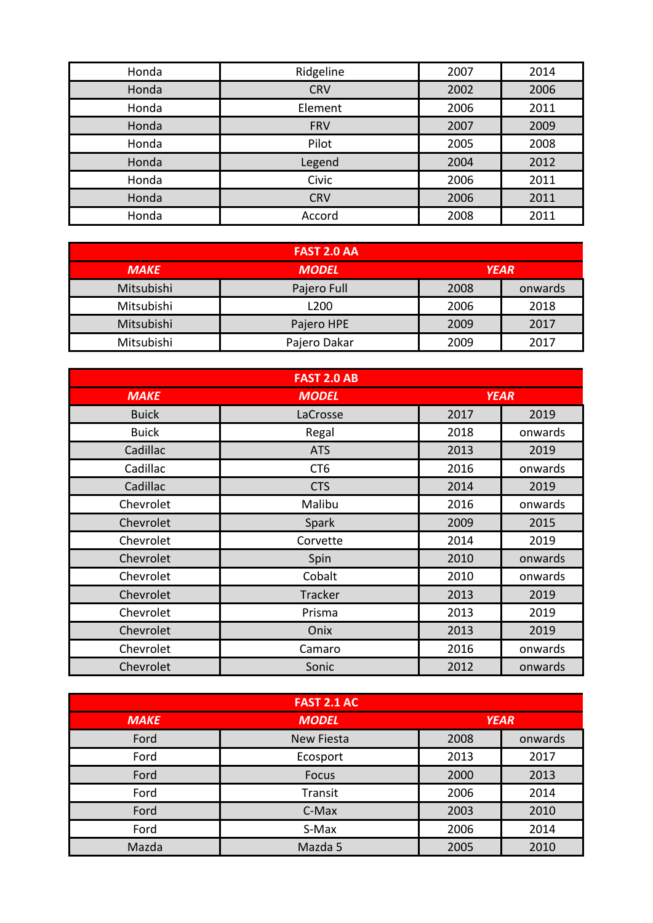| Honda | Ridgeline  | 2007 | 2014 |
|-------|------------|------|------|
| Honda | <b>CRV</b> | 2002 | 2006 |
| Honda | Element    | 2006 | 2011 |
| Honda | <b>FRV</b> | 2007 | 2009 |
| Honda | Pilot      | 2005 | 2008 |
| Honda | Legend     | 2004 | 2012 |
| Honda | Civic      | 2006 | 2011 |
| Honda | <b>CRV</b> | 2006 | 2011 |
| Honda | Accord     | 2008 | 2011 |

| <b>FAST 2.0 AA</b> |                             |      |         |
|--------------------|-----------------------------|------|---------|
| <b>MAKE</b>        | <b>YEAR</b><br><b>MODEL</b> |      |         |
| Mitsubishi         | Pajero Full                 | 2008 | onwards |
| Mitsubishi         | L200                        | 2006 | 2018    |
| Mitsubishi         | Pajero HPE                  | 2009 | 2017    |
| Mitsubishi         | Pajero Dakar                | 2009 | 2017    |

| <b>FAST 2.0 AB</b> |                 |             |         |
|--------------------|-----------------|-------------|---------|
| <b>MAKE</b>        | <b>MODEL</b>    | <b>YEAR</b> |         |
| <b>Buick</b>       | LaCrosse        | 2017        | 2019    |
| <b>Buick</b>       | Regal           | 2018        | onwards |
| Cadillac           | <b>ATS</b>      | 2013        | 2019    |
| Cadillac           | CT <sub>6</sub> | 2016        | onwards |
| Cadillac           | <b>CTS</b>      | 2014        | 2019    |
| Chevrolet          | Malibu          | 2016        | onwards |
| Chevrolet          | Spark           | 2009        | 2015    |
| Chevrolet          | Corvette        | 2014        | 2019    |
| Chevrolet          | Spin            | 2010        | onwards |
| Chevrolet          | Cobalt          | 2010        | onwards |
| Chevrolet          | <b>Tracker</b>  | 2013        | 2019    |
| Chevrolet          | Prisma          | 2013        | 2019    |
| Chevrolet          | Onix            | 2013        | 2019    |
| Chevrolet          | Camaro          | 2016        | onwards |
| Chevrolet          | Sonic           | 2012        | onwards |

| <b>FAST 2.1 AC</b> |                   |             |         |
|--------------------|-------------------|-------------|---------|
| <b>MAKE</b>        | <b>MODEL</b>      | <b>YEAR</b> |         |
| Ford               | <b>New Fiesta</b> | 2008        | onwards |
| Ford               | Ecosport          | 2013        | 2017    |
| Ford               | Focus             | 2000        | 2013    |
| Ford               | Transit           | 2006        | 2014    |
| Ford               | C-Max             | 2003        | 2010    |
| Ford               | S-Max             | 2006        | 2014    |
| Mazda              | Mazda 5           | 2005        | 2010    |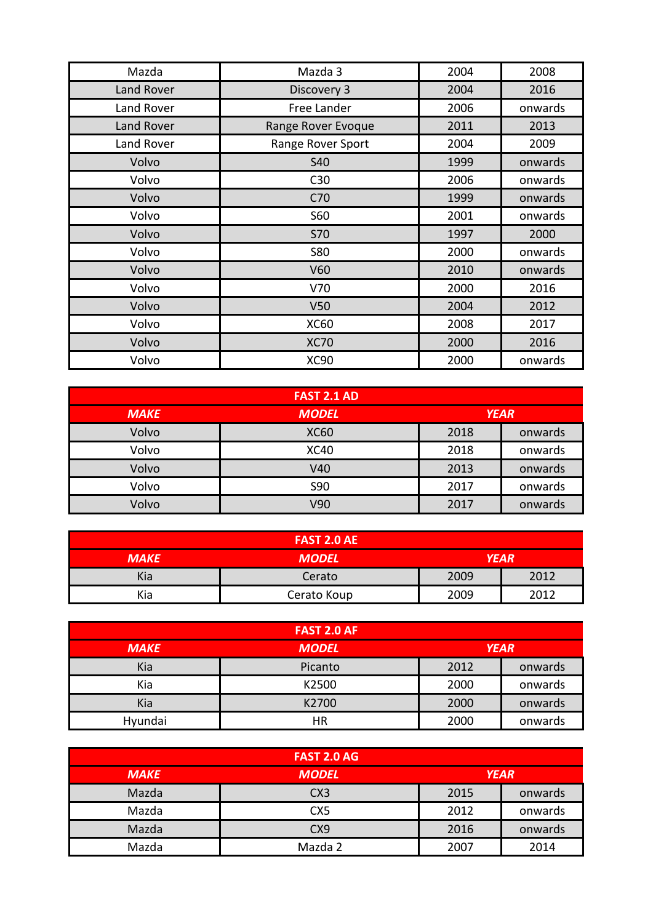| Mazda      | Mazda 3            | 2004 | 2008    |
|------------|--------------------|------|---------|
| Land Rover | Discovery 3        | 2004 | 2016    |
| Land Rover | Free Lander        | 2006 | onwards |
| Land Rover | Range Rover Evoque | 2011 | 2013    |
| Land Rover | Range Rover Sport  | 2004 | 2009    |
| Volvo      | <b>S40</b>         | 1999 | onwards |
| Volvo      | C30                | 2006 | onwards |
| Volvo      | C70                | 1999 | onwards |
| Volvo      | S60                | 2001 | onwards |
| Volvo      | <b>S70</b>         | 1997 | 2000    |
| Volvo      | <b>S80</b>         | 2000 | onwards |
| Volvo      | V60                | 2010 | onwards |
| Volvo      | V70                | 2000 | 2016    |
| Volvo      | V <sub>50</sub>    | 2004 | 2012    |
| Volvo      | <b>XC60</b>        | 2008 | 2017    |
| Volvo      | <b>XC70</b>        | 2000 | 2016    |
| Volvo      | <b>XC90</b>        | 2000 | onwards |

| <b>FAST 2.1 AD</b> |              |             |         |
|--------------------|--------------|-------------|---------|
| <b>MAKE</b>        | <b>MODEL</b> | <b>YEAR</b> |         |
| Volvo              | <b>XC60</b>  | 2018        | onwards |
| Volvo              | <b>XC40</b>  | 2018        | onwards |
| Volvo              | V40          | 2013        | onwards |
| Volvo              | <b>S90</b>   | 2017        | onwards |
| Volvo              | V90          | 2017        | onwards |

| <b>FAST 2.0 AE</b> |              |             |      |
|--------------------|--------------|-------------|------|
| <b>MAKE</b>        | <b>MODEL</b> | <b>YEAR</b> |      |
| Kia                | Cerato       | 2009        | 2012 |
| Kia                | Cerato Koup  | 2009        | 2012 |

| <b>FAST 2.0 AF</b> |              |      |         |
|--------------------|--------------|------|---------|
| <b>MAKE</b>        | <b>MODEL</b> |      |         |
| Kia                | Picanto      | 2012 | onwards |
| Kia                | K2500        | 2000 | onwards |
| Kia                | K2700        | 2000 | onwards |
| Hyundai            | HR           | 2000 | onwards |

| <b>FAST 2.0 AG</b> |                 |      |         |
|--------------------|-----------------|------|---------|
| <b>MAKE</b>        | <b>YEAR</b>     |      |         |
| Mazda              | CX3             | 2015 | onwards |
| Mazda              | CX <sub>5</sub> | 2012 | onwards |
| Mazda              | CX <sub>9</sub> | 2016 | onwards |
| Mazda              | Mazda 2         | 2007 | 2014    |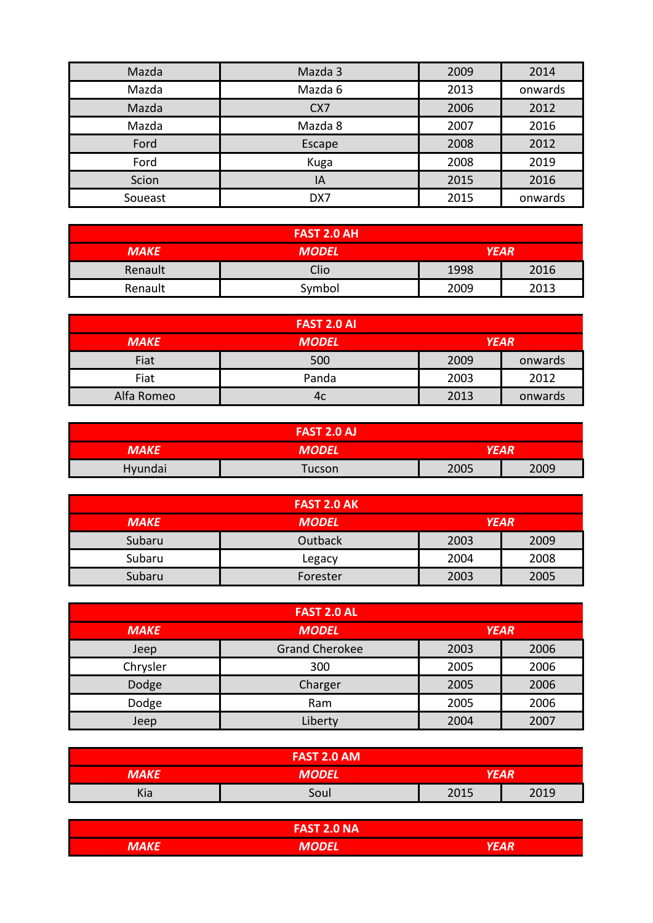| Mazda   | Mazda 3         | 2009 | 2014    |
|---------|-----------------|------|---------|
| Mazda   | Mazda 6         | 2013 | onwards |
| Mazda   | CX <sub>7</sub> | 2006 | 2012    |
| Mazda   | Mazda 8         | 2007 | 2016    |
| Ford    | Escape          | 2008 | 2012    |
| Ford    | Kuga            | 2008 | 2019    |
| Scion   | IA              | 2015 | 2016    |
| Soueast | DX7             | 2015 | onwards |

| <b>FAST 2.0 AH</b> |              |             |      |
|--------------------|--------------|-------------|------|
| <b>MAKE</b>        | <b>MODEL</b> | <b>YEAR</b> |      |
| Renault            | Clio         | 1998        | 2016 |
| Renault            | Symbol       | 2009        | 2013 |

| <b>FAST 2.0 AI</b> |              |             |         |
|--------------------|--------------|-------------|---------|
| <b>MAKE</b>        | <b>MODEL</b> | <b>YEAR</b> |         |
| Fiat               | 500          | 2009        | onwards |
| Fiat               | Panda        | 2003        | 2012    |
| Alfa Romeo         | 4c           | 2013        | onwards |

|             | <b>FAST 2.0 AJ</b> |      |      |
|-------------|--------------------|------|------|
| <b>MAKE</b> | <b>MODEL</b>       | YEAR |      |
| Hyundai     | Tucson             | 2005 | 2009 |

| <b>FAST 2.0 AK</b> |              |             |      |
|--------------------|--------------|-------------|------|
| <b>MAKE</b>        | <b>MODEL</b> | <b>YEAR</b> |      |
| Subaru             | Outback      | 2003        | 2009 |
| Subaru             | Legacy       | 2004        | 2008 |
| Subaru             | Forester     | 2003        | 2005 |

| <b>FAST 2.0 AL</b> |                       |             |      |
|--------------------|-----------------------|-------------|------|
| <b>MAKE</b>        | <b>MODEL</b>          | <b>YEAR</b> |      |
| Jeep               | <b>Grand Cherokee</b> | 2003        | 2006 |
| Chrysler           | 300                   | 2005        | 2006 |
| Dodge              | Charger               | 2005        | 2006 |
| Dodge              | Ram                   | 2005        | 2006 |
| Jeep               | Liberty               | 2004        | 2007 |

|             | <b>FAST 2.0 AM</b> |             |      |
|-------------|--------------------|-------------|------|
| <b>MAKE</b> | <b>MODEL</b>       | <b>YEAR</b> |      |
| Kia         | Soul               | 2015        | 2019 |

|         | <b>FAST 2.0 NA</b> |        |
|---------|--------------------|--------|
| ,,,,,,, | <b>MODEL</b>       | $L$ mn |